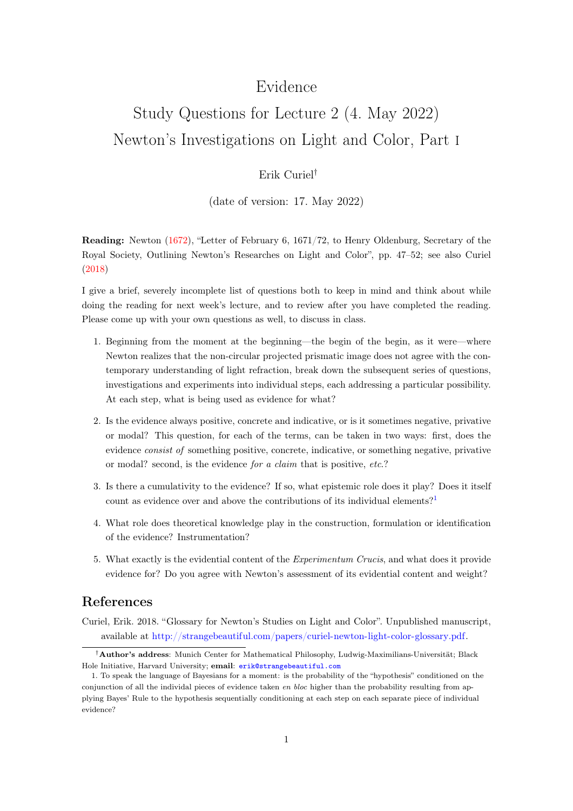## Evidence

## Study Questions for Lecture 2 (4. May 2022) Newton's Investigations on Light and Color, Part i

## Erik Curiel†

(date of version: 17. May 2022)

Reading: Newton [\(1672\)](#page-1-0), "Letter of February 6, 1671/72, to Henry Oldenburg, Secretary of the Royal Society, Outlining Newton's Researches on Light and Color", pp. 47–52; see also Curiel [\(2018\)](#page-0-0)

I give a brief, severely incomplete list of questions both to keep in mind and think about while doing the reading for next week's lecture, and to review after you have completed the reading. Please come up with your own questions as well, to discuss in class.

- 1. Beginning from the moment at the beginning—the begin of the begin, as it were—where Newton realizes that the non-circular projected prismatic image does not agree with the contemporary understanding of light refraction, break down the subsequent series of questions, investigations and experiments into individual steps, each addressing a particular possibility. At each step, what is being used as evidence for what?
- 2. Is the evidence always positive, concrete and indicative, or is it sometimes negative, privative or modal? This question, for each of the terms, can be taken in two ways: first, does the evidence consist of something positive, concrete, indicative, or something negative, privative or modal? second, is the evidence for a claim that is positive, etc.?
- 3. Is there a cumulativity to the evidence? If so, what epistemic role does it play? Does it itself count as evidence over and above the contributions of its individual elements?<sup>[1](#page-0-1)</sup>
- 4. What role does theoretical knowledge play in the construction, formulation or identification of the evidence? Instrumentation?
- 5. What exactly is the evidential content of the Experimentum Crucis, and what does it provide evidence for? Do you agree with Newton's assessment of its evidential content and weight?

## References

<span id="page-0-0"></span>Curiel, Erik. 2018. "Glossary for Newton's Studies on Light and Color". Unpublished manuscript, available at [http://strangebeautiful.com/papers/curiel-newton-light-color-glossary.pdf.](http://strangebeautiful.com/papers/curiel-newton-light-color-glossary.pdf)

<sup>†</sup>Author's address: Munich Center for Mathematical Philosophy, Ludwig-Maximilians-Universität; Black Hole Initiative, Harvard University; email: [erik@strangebeautiful.com](mailto:erik@strangebeautiful.com)

<span id="page-0-1"></span><sup>1.</sup> To speak the language of Bayesians for a moment: is the probability of the "hypothesis" conditioned on the conjunction of all the individal pieces of evidence taken  $en \, bloc$  higher than the probability resulting from applying Bayes' Rule to the hypothesis sequentially conditioning at each step on each separate piece of individual evidence?